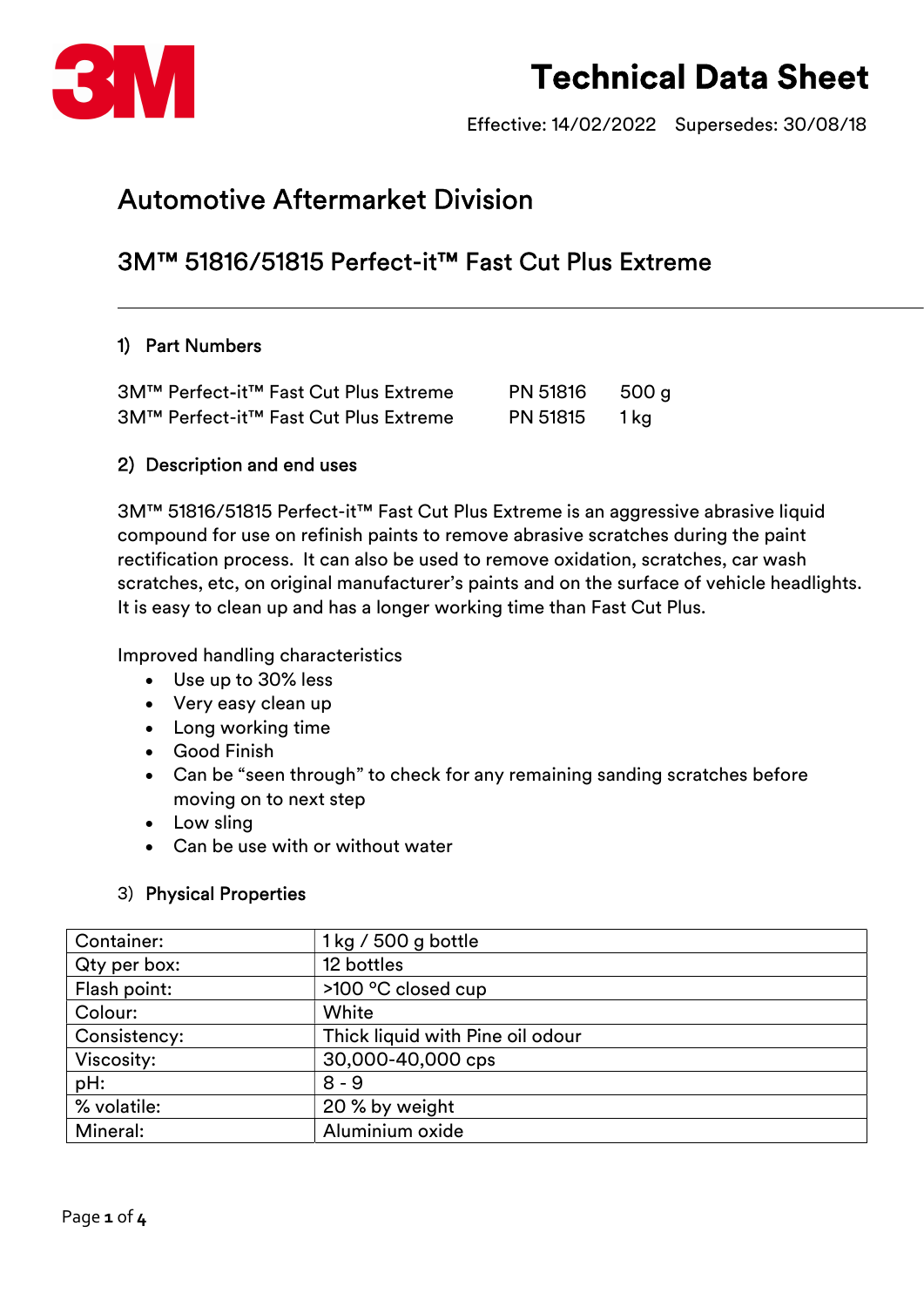

Effective: 14/02/2022 Supersedes: 30/08/18

### Automotive Aftermarket Division

### 3M™ 51816/51815 Perfect-it™ Fast Cut Plus Extreme

#### 1) Part Numbers

|  | 3M™ Perfect-it™ Fast Cut Plus Extreme        | PN 51816        | 500 g |
|--|----------------------------------------------|-----------------|-------|
|  | <b>3M™ Perfect-it™ Fast Cut Plus Extreme</b> | <b>PN 51815</b> | 1 ka  |

#### 2) Description and end uses

3M™ 51816/51815 Perfect-it™ Fast Cut Plus Extreme is an aggressive abrasive liquid compound for use on refinish paints to remove abrasive scratches during the paint rectification process. It can also be used to remove oxidation, scratches, car wash scratches, etc, on original manufacturer's paints and on the surface of vehicle headlights. It is easy to clean up and has a longer working time than Fast Cut Plus.

Improved handling characteristics

- Use up to 30% less
- Very easy clean up
- Long working time
- Good Finish
- Can be "seen through" to check for any remaining sanding scratches before moving on to next step
- Low sling
- Can be use with or without water

#### 3) Physical Properties

| Container:   | 1 kg / 500 g bottle              |
|--------------|----------------------------------|
| Qty per box: | 12 bottles                       |
| Flash point: | >100 °C closed cup               |
| Colour:      | White                            |
| Consistency: | Thick liquid with Pine oil odour |
| Viscosity:   | 30,000-40,000 cps                |
| pH:          | $8 - 9$                          |
| % volatile:  | 20 % by weight                   |
| Mineral:     | Aluminium oxide                  |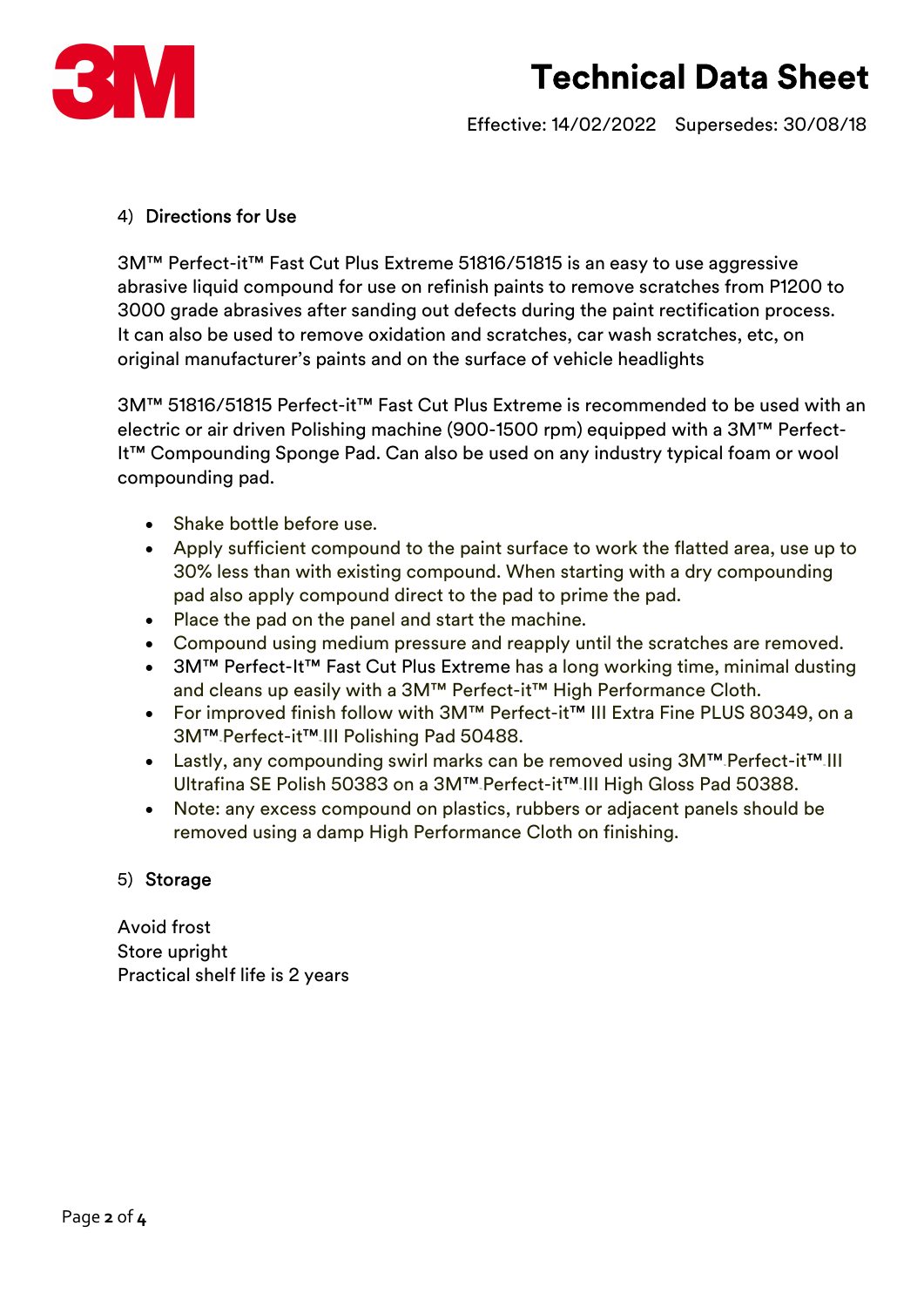

Effective: 14/02/2022 Supersedes: 30/08/18

#### 4) Directions for Use

3M™ Perfect-it™ Fast Cut Plus Extreme 51816/51815 is an easy to use aggressive abrasive liquid compound for use on refinish paints to remove scratches from P1200 to 3000 grade abrasives after sanding out defects during the paint rectification process. It can also be used to remove oxidation and scratches, car wash scratches, etc, on original manufacturer's paints and on the surface of vehicle headlights

3M™ 51816/51815 Perfect-it™ Fast Cut Plus Extreme is recommended to be used with an electric or air driven Polishing machine (900-1500 rpm) equipped with a 3M™ Perfect-It™ Compounding Sponge Pad. Can also be used on any industry typical foam or wool compounding pad.

- Shake bottle before use.
- Apply sufficient compound to the paint surface to work the flatted area, use up to 30% less than with existing compound. When starting with a dry compounding pad also apply compound direct to the pad to prime the pad.
- Place the pad on the panel and start the machine.
- Compound using medium pressure and reapply until the scratches are removed.
- 3M™ Perfect-It™ Fast Cut Plus Extreme has a long working time, minimal dusting and cleans up easily with a 3M™ Perfect-it™ High Performance Cloth.
- For improved finish follow with 3M™ Perfect-it™ III Extra Fine PLUS 80349, on a 3M™™ Perfect-it™™ III Polishing Pad 50488.
- Lastly, any compounding swirl marks can be removed using 3M™ Perfect-it™ III Ultrafina SE Polish 50383 on a 3M™™ Perfect-it™™ III High Gloss Pad 50388.
- Note: any excess compound on plastics, rubbers or adjacent panels should be removed using a damp High Performance Cloth on finishing.

#### 5) Storage

Avoid frost Store upright Practical shelf life is 2 years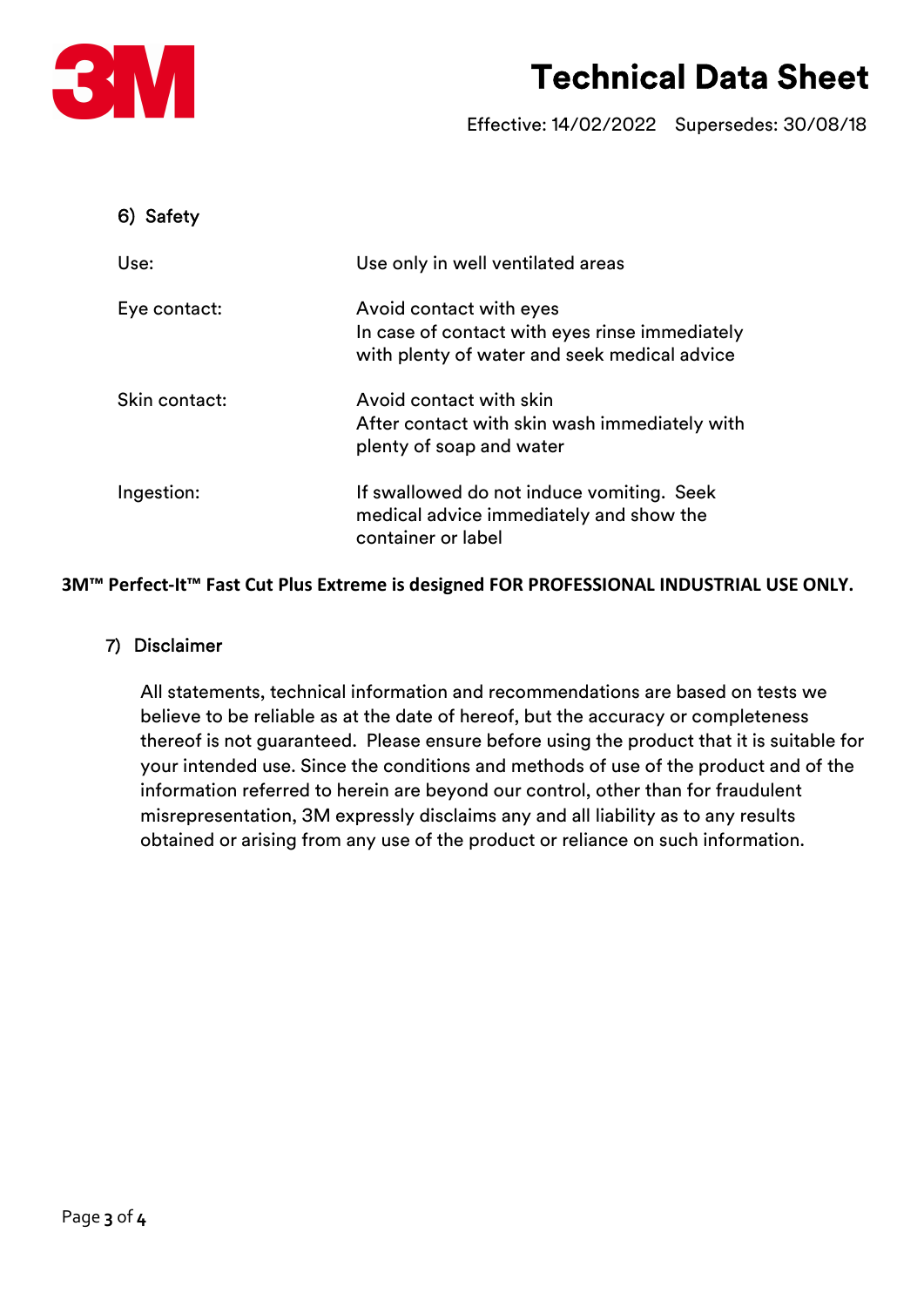

Effective: 14/02/2022 Supersedes: 30/08/18

| Safety<br>6)  |                                                                                                                           |
|---------------|---------------------------------------------------------------------------------------------------------------------------|
| Use:          | Use only in well ventilated areas                                                                                         |
| Eye contact:  | Avoid contact with eyes<br>In case of contact with eyes rinse immediately<br>with plenty of water and seek medical advice |
| Skin contact: | Avoid contact with skin<br>After contact with skin wash immediately with<br>plenty of soap and water                      |
| Ingestion:    | If swallowed do not induce vomiting. Seek<br>medical advice immediately and show the<br>container or label                |

3M™ Perfect-It™ Fast Cut Plus Extreme is designed FOR PROFESSIONAL INDUSTRIAL USE ONLY.

#### 7) Disclaimer

All statements, technical information and recommendations are based on tests we believe to be reliable as at the date of hereof, but the accuracy or completeness thereof is not guaranteed. Please ensure before using the product that it is suitable for your intended use. Since the conditions and methods of use of the product and of the information referred to herein are beyond our control, other than for fraudulent misrepresentation, 3M expressly disclaims any and all liability as to any results obtained or arising from any use of the product or reliance on such information.